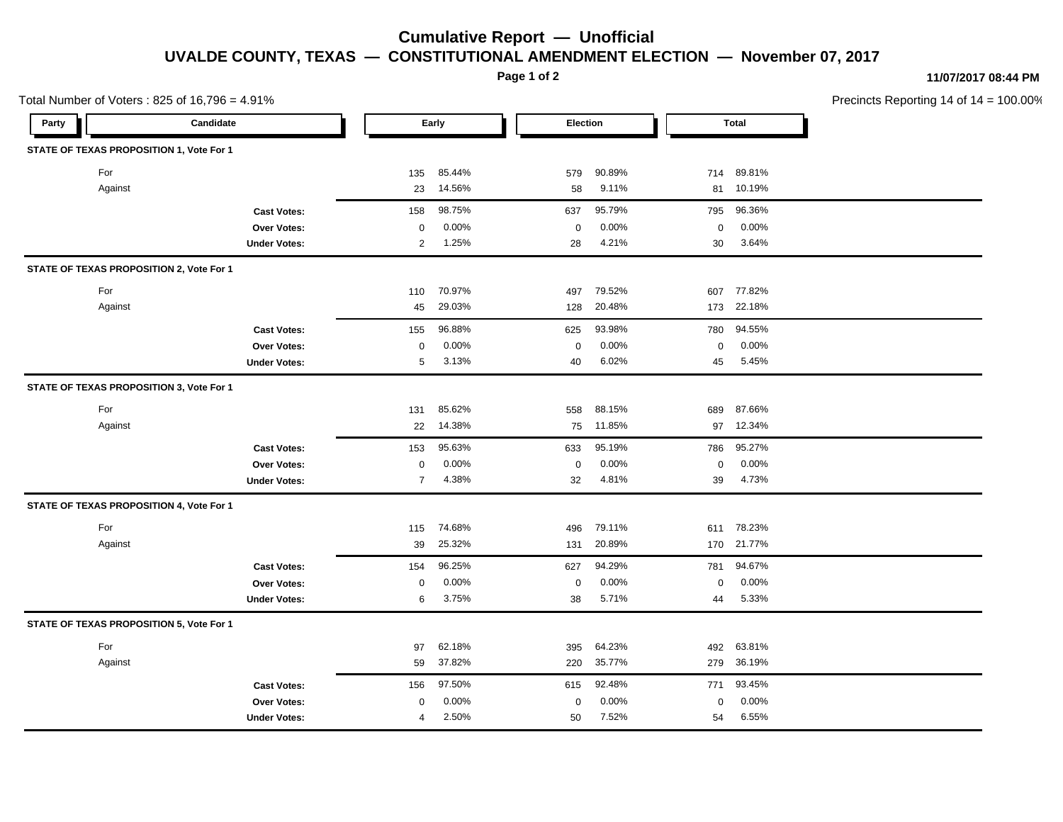## **Cumulative Report — Unofficial UVALDE COUNTY, TEXAS — CONSTITUTIONAL AMENDMENT ELECTION — November 07, 2017**

**Page 1 of 2**

## **11/07/2017 08:44 PM**

|       | Total Number of Voters : 825 of 16,796 = 4.91% | Precincts Reporting 14 of $14 = 100.00\%$ |                         |                       |                         |  |
|-------|------------------------------------------------|-------------------------------------------|-------------------------|-----------------------|-------------------------|--|
| Party | Candidate                                      |                                           | Early                   | Election              | <b>Total</b>            |  |
|       | STATE OF TEXAS PROPOSITION 1, Vote For 1       |                                           |                         |                       |                         |  |
|       | For                                            |                                           | 85.44%<br>135           | 90.89%<br>579         | 714 89.81%              |  |
|       | Against                                        |                                           | 14.56%<br>23            | 9.11%<br>58           | 81 10.19%               |  |
|       |                                                | <b>Cast Votes:</b>                        | 98.75%<br>158           | 95.79%<br>637         | 795 96.36%              |  |
|       |                                                | Over Votes:                               | 0.00%<br>$\mathbf 0$    | 0.00%<br>$\mathbf 0$  | 0.00%<br>$\mathbf 0$    |  |
|       |                                                | <b>Under Votes:</b>                       | 2 1.25%                 | 4.21%<br>28           | 30 3.64%                |  |
|       | STATE OF TEXAS PROPOSITION 2, Vote For 1       |                                           |                         |                       |                         |  |
|       | For                                            |                                           | 70.97%<br>110           | 79.52%<br>497         | 607 77.82%              |  |
|       | Against                                        |                                           | 45 29.03%               | 128<br>20.48%         | 173 22.18%              |  |
|       |                                                | <b>Cast Votes:</b>                        | 96.88%<br>155           | 93.98%<br>625         | 780 94.55%              |  |
|       |                                                | Over Votes:                               | 0.00%<br>$\mathbf 0$    | 0.00%<br>$\mathbf{0}$ | 0.00%<br>$\mathbf 0$    |  |
|       |                                                | <b>Under Votes:</b>                       | 3.13%<br>$5^{\circ}$    | 6.02%<br>40           | 5.45%<br>45             |  |
|       | STATE OF TEXAS PROPOSITION 3, Vote For 1       |                                           |                         |                       |                         |  |
|       | For                                            |                                           | 85.62%<br>131           | 88.15%<br>558         | 87.66%<br>689           |  |
|       | Against                                        |                                           | 14.38%<br>22            | 75 11.85%             | 97 12.34%               |  |
|       |                                                | <b>Cast Votes:</b>                        | 95.63%<br>153           | 95.19%<br>633         | 786 95.27%              |  |
|       |                                                | Over Votes:                               | 0.00%<br>$\mathbf 0$    | 0.00%<br>$\mathbf 0$  | 0.00%<br>$\mathbf 0$    |  |
|       |                                                | <b>Under Votes:</b>                       | 4.38%<br>$\overline{7}$ | 4.81%<br>32           | 39 4.73%                |  |
|       | STATE OF TEXAS PROPOSITION 4, Vote For 1       |                                           |                         |                       |                         |  |
|       | For                                            |                                           | 115 74.68%              | 79.11%<br>496         | 611 78.23%              |  |
|       | Against                                        |                                           | 25.32%<br>39            | 20.89%<br>131         | 170 21.77%              |  |
|       |                                                | <b>Cast Votes:</b>                        | 96.25%<br>154           | 94.29%<br>627         | 781 94.67%              |  |
|       |                                                | Over Votes:                               | 0.00%<br>0              | 0.00%<br>$\mathbf 0$  | 0.00%<br>$\Omega$       |  |
|       |                                                | <b>Under Votes:</b>                       | 3.75%<br>6              | 5.71%<br>38           | 5.33%<br>44             |  |
|       | STATE OF TEXAS PROPOSITION 5, Vote For 1       |                                           |                         |                       |                         |  |
|       | For                                            |                                           | 62.18%<br>97            | 64.23%<br>395         | 492 63.81%              |  |
|       | Against                                        |                                           | 37.82%<br>59            | 35.77%<br>220         | 279 36.19%              |  |
|       |                                                | <b>Cast Votes:</b>                        | 97.50%<br>156           | 92.48%<br>615         | 771 93.45%              |  |
|       |                                                | Over Votes:                               | 0.00%<br>0              | 0.00%<br>$\Omega$     | 0.00%<br>$\overline{0}$ |  |
|       |                                                | <b>Under Votes:</b>                       | 2.50%<br>$\overline{4}$ | 7.52%<br>50           | 6.55%<br>54             |  |